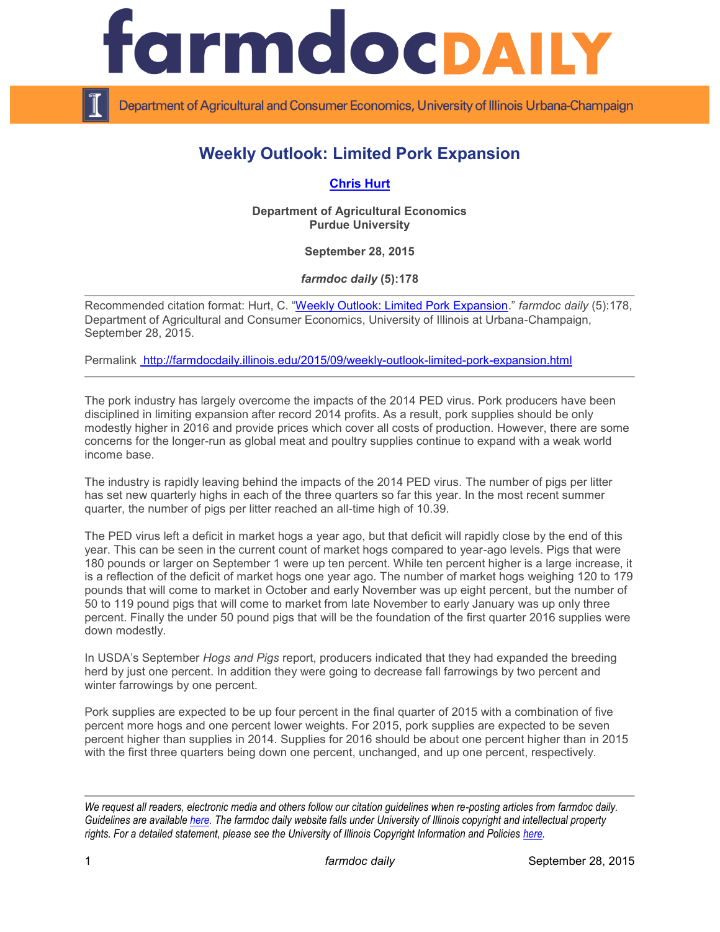

Department of Agricultural and Consumer Economics, University of Illinois Urbana-Champaign

## **Weekly Outlook: Limited Pork Expansion**

## **[Chris Hurt](https://ag.purdue.edu/agecon/Pages/Profile.aspx?strAlias=hurtc)**

**Department of Agricultural Economics Purdue University**

**September 28, 2015**

*farmdoc daily* **(5):178**

Recommended citation format: Hurt, C. "[Weekly Outlook: Limited Pork Expansion.](http://farmdocdaily.illinois.edu/2015/09/weekly-outlook-limited-pork-expansion.html)" *farmdoc daily* (5):178, Department of Agricultural and Consumer Economics, University of Illinois at Urbana-Champaign, September 28, 2015.

Permalink <http://farmdocdaily.illinois.edu/2015/09/weekly-outlook-limited-pork-expansion.html>

The pork industry has largely overcome the impacts of the 2014 PED virus. Pork producers have been disciplined in limiting expansion after record 2014 profits. As a result, pork supplies should be only modestly higher in 2016 and provide prices which cover all costs of production. However, there are some concerns for the longer-run as global meat and poultry supplies continue to expand with a weak world income base.

The industry is rapidly leaving behind the impacts of the 2014 PED virus. The number of pigs per litter has set new quarterly highs in each of the three quarters so far this year. In the most recent summer quarter, the number of pigs per litter reached an all-time high of 10.39.

The PED virus left a deficit in market hogs a year ago, but that deficit will rapidly close by the end of this year. This can be seen in the current count of market hogs compared to year-ago levels. Pigs that were 180 pounds or larger on September 1 were up ten percent. While ten percent higher is a large increase, it is a reflection of the deficit of market hogs one year ago. The number of market hogs weighing 120 to 179 pounds that will come to market in October and early November was up eight percent, but the number of 50 to 119 pound pigs that will come to market from late November to early January was up only three percent. Finally the under 50 pound pigs that will be the foundation of the first quarter 2016 supplies were down modestly.

In USDA's September *Hogs and Pigs* report, producers indicated that they had expanded the breeding herd by just one percent. In addition they were going to decrease fall farrowings by two percent and winter farrowings by one percent.

Pork supplies are expected to be up four percent in the final quarter of 2015 with a combination of five percent more hogs and one percent lower weights. For 2015, pork supplies are expected to be seven percent higher than supplies in 2014. Supplies for 2016 should be about one percent higher than in 2015 with the first three quarters being down one percent, unchanged, and up one percent, respectively.

*We request all readers, electronic media and others follow our citation guidelines when re-posting articles from farmdoc daily. Guidelines are available [here.](http://farmdocdaily.illinois.edu/citationguide.html) The farmdoc daily website falls under University of Illinois copyright and intellectual property rights. For a detailed statement, please see the University of Illinois Copyright Information and Policies [here.](http://www.cio.illinois.edu/policies/copyright/)*